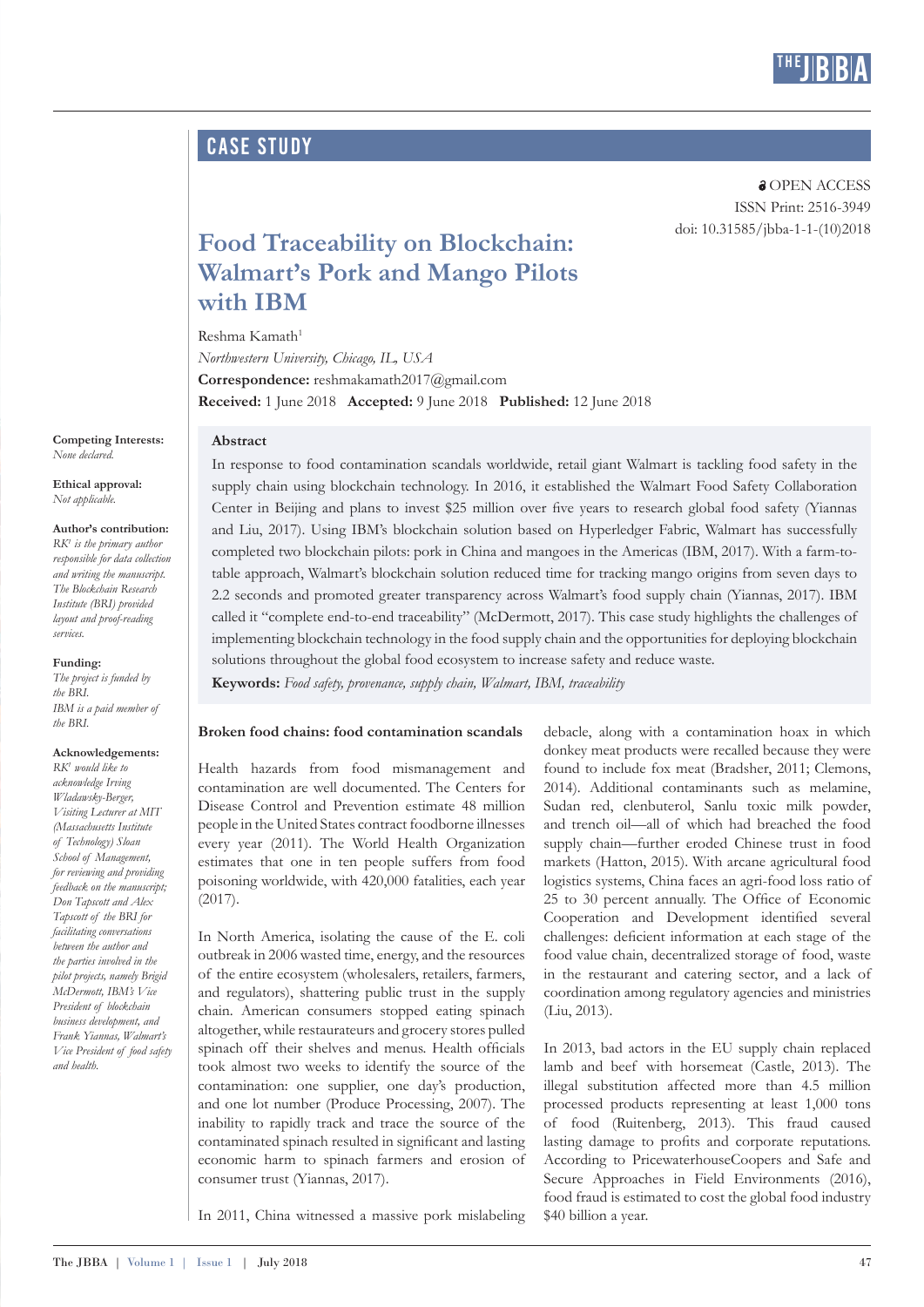

# Case Study

**a** OPEN ACCESS ISSN Print: 2516-3949 doi: 10.31585/jbba-1-1-(10)2018

# **Food Traceability on Blockchain: Walmart's Pork and Mango Pilots with IBM**

Reshma Kamath1 *Northwestern University, Chicago, IL, USA*  **Correspondence:** reshmakamath2017@gmail.com **Received:** 1 June 2018 **Accepted:** 9 June 2018 **Published:** 12 June 2018

**Competing Interests:** *None declared.*

**Ethical approval:** *Not applicable.*

**Author's contribution:**

*RK1 is the primary author responsible for data collection and writing the manuscript. The Blockchain Research Institute (BRI) provided layout and proof-reading services.*

**Funding:**

*The project is funded by the BRI. IBM is a paid member of the BRI.* 

**Acknowledgements:**

*RK1 would like to acknowledge Irving Wladawsky-Berger, Visiting Lecturer at MIT (Massachusetts Institute of Technology) Sloan School of Management, for reviewing and providing feedback on the manuscript; Don Tapscott and Alex Tapscott of the BRI for facilitating conversations between the author and the parties involved in the pilot projects, namely Brigid McDermott, IBM's Vice President of blockchain business development, and Frank Yiannas, Walmart's Vice President of food safety and health.*

**Abstract**

In response to food contamination scandals worldwide, retail giant Walmart is tackling food safety in the supply chain using blockchain technology. In 2016, it established the Walmart Food Safety Collaboration Center in Beijing and plans to invest \$25 million over five years to research global food safety (Yiannas and Liu, 2017). Using IBM's blockchain solution based on Hyperledger Fabric, Walmart has successfully completed two blockchain pilots: pork in China and mangoes in the Americas (IBM, 2017). With a farm-totable approach, Walmart's blockchain solution reduced time for tracking mango origins from seven days to 2.2 seconds and promoted greater transparency across Walmart's food supply chain (Yiannas, 2017). IBM called it "complete end-to-end traceability" (McDermott, 2017). This case study highlights the challenges of implementing blockchain technology in the food supply chain and the opportunities for deploying blockchain solutions throughout the global food ecosystem to increase safety and reduce waste.

**Keywords:** *Food safety, provenance, supply chain, Walmart, IBM, traceability* 

### **Broken food chains: food contamination scandals**

Health hazards from food mismanagement and contamination are well documented. The Centers for Disease Control and Prevention estimate 48 million people in the United States contract foodborne illnesses every year (2011). The World Health Organization estimates that one in ten people suffers from food poisoning worldwide, with 420,000 fatalities, each year (2017).

In North America, isolating the cause of the E. coli outbreak in 2006 wasted time, energy, and the resources of the entire ecosystem (wholesalers, retailers, farmers, and regulators), shattering public trust in the supply chain. American consumers stopped eating spinach altogether, while restaurateurs and grocery stores pulled spinach off their shelves and menus. Health officials took almost two weeks to identify the source of the contamination: one supplier, one day's production, and one lot number (Produce Processing, 2007). The inability to rapidly track and trace the source of the contaminated spinach resulted in significant and lasting economic harm to spinach farmers and erosion of consumer trust (Yiannas, 2017).

In 2011, China witnessed a massive pork mislabeling

debacle, along with a contamination hoax in which donkey meat products were recalled because they were found to include fox meat (Bradsher, 2011; Clemons, 2014). Additional contaminants such as melamine, Sudan red, clenbuterol, Sanlu toxic milk powder, and trench oil—all of which had breached the food supply chain—further eroded Chinese trust in food markets (Hatton, 2015). With arcane agricultural food logistics systems, China faces an agri-food loss ratio of 25 to 30 percent annually. The Office of Economic Cooperation and Development identified several challenges: deficient information at each stage of the food value chain, decentralized storage of food, waste in the restaurant and catering sector, and a lack of coordination among regulatory agencies and ministries (Liu, 2013).

In 2013, bad actors in the EU supply chain replaced lamb and beef with horsemeat (Castle, 2013). The illegal substitution affected more than 4.5 million processed products representing at least 1,000 tons of food (Ruitenberg, 2013). This fraud caused lasting damage to profits and corporate reputations. According to PricewaterhouseCoopers and Safe and Secure Approaches in Field Environments (2016), food fraud is estimated to cost the global food industry \$40 billion a year.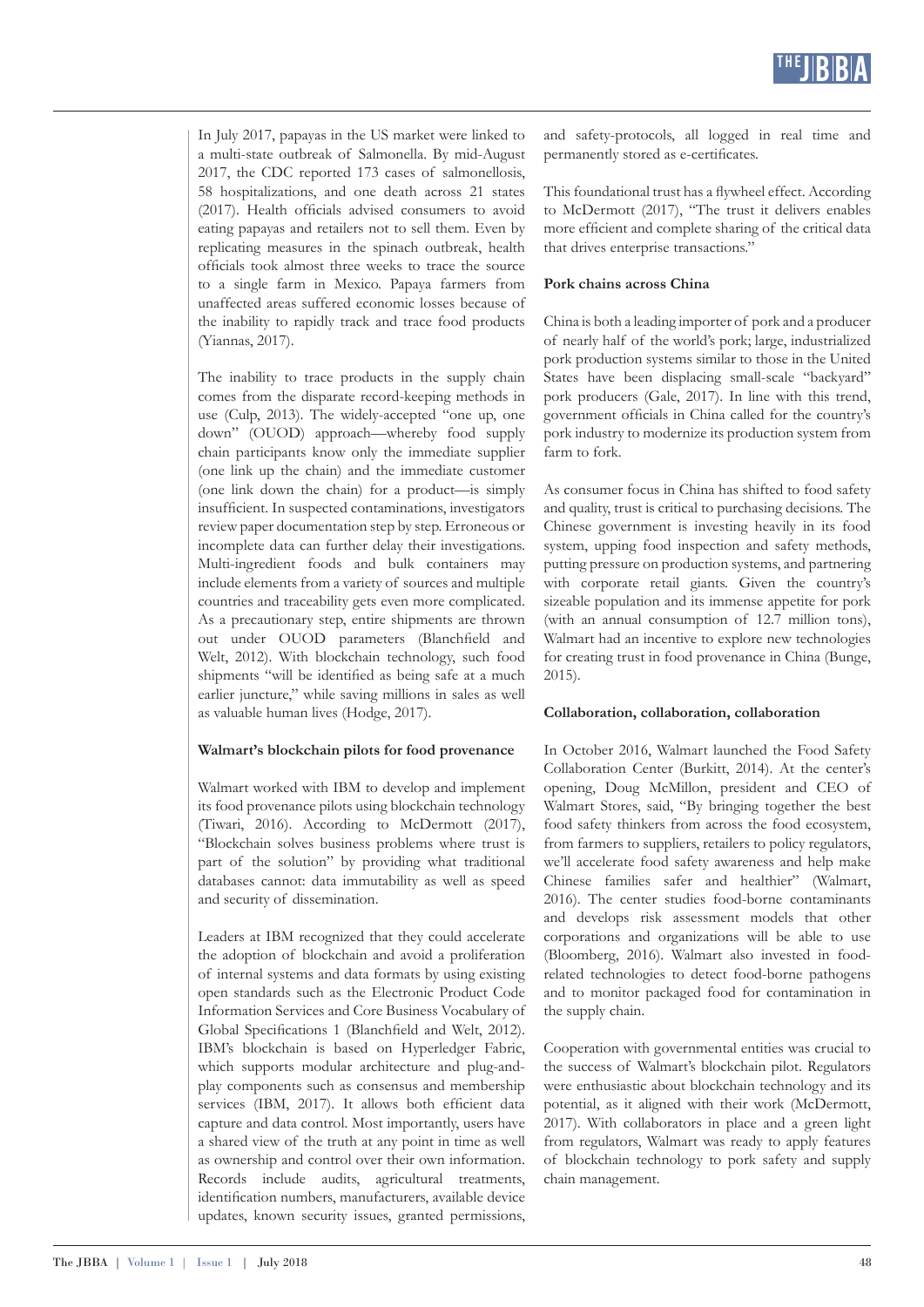In July 2017, papayas in the US market were linked to a multi-state outbreak of Salmonella. By mid-August 2017, the CDC reported 173 cases of salmonellosis, 58 hospitalizations, and one death across 21 states (2017). Health officials advised consumers to avoid eating papayas and retailers not to sell them. Even by replicating measures in the spinach outbreak, health officials took almost three weeks to trace the source to a single farm in Mexico. Papaya farmers from unaffected areas suffered economic losses because of the inability to rapidly track and trace food products (Yiannas, 2017).

The inability to trace products in the supply chain comes from the disparate record-keeping methods in use (Culp, 2013). The widely-accepted "one up, one down" (OUOD) approach—whereby food supply chain participants know only the immediate supplier (one link up the chain) and the immediate customer (one link down the chain) for a product—is simply insufficient. In suspected contaminations, investigators review paper documentation step by step. Erroneous or incomplete data can further delay their investigations. Multi-ingredient foods and bulk containers may include elements from a variety of sources and multiple countries and traceability gets even more complicated. As a precautionary step, entire shipments are thrown out under OUOD parameters (Blanchfield and Welt, 2012). With blockchain technology, such food shipments "will be identified as being safe at a much earlier juncture," while saving millions in sales as well as valuable human lives (Hodge, 2017).

# **Walmart's blockchain pilots for food provenance**

Walmart worked with IBM to develop and implement its food provenance pilots using blockchain technology (Tiwari, 2016). According to McDermott (2017), "Blockchain solves business problems where trust is part of the solution" by providing what traditional databases cannot: data immutability as well as speed and security of dissemination.

Leaders at IBM recognized that they could accelerate the adoption of blockchain and avoid a proliferation of internal systems and data formats by using existing open standards such as the Electronic Product Code Information Services and Core Business Vocabulary of Global Specifications 1 (Blanchfield and Welt, 2012). IBM's blockchain is based on Hyperledger Fabric, which supports modular architecture and plug-andplay components such as consensus and membership services (IBM, 2017). It allows both efficient data capture and data control. Most importantly, users have a shared view of the truth at any point in time as well as ownership and control over their own information. Records include audits, agricultural treatments, identification numbers, manufacturers, available device updates, known security issues, granted permissions, and safety-protocols, all logged in real time and permanently stored as e-certificates.

This foundational trust has a flywheel effect. According to McDermott (2017), "The trust it delivers enables more efficient and complete sharing of the critical data that drives enterprise transactions."

# **Pork chains across China**

China is both a leading importer of pork and a producer of nearly half of the world's pork; large, industrialized pork production systems similar to those in the United States have been displacing small-scale "backyard" pork producers (Gale, 2017). In line with this trend, government officials in China called for the country's pork industry to modernize its production system from farm to fork.

As consumer focus in China has shifted to food safety and quality, trust is critical to purchasing decisions. The Chinese government is investing heavily in its food system, upping food inspection and safety methods, putting pressure on production systems, and partnering with corporate retail giants. Given the country's sizeable population and its immense appetite for pork (with an annual consumption of 12.7 million tons), Walmart had an incentive to explore new technologies for creating trust in food provenance in China (Bunge, 2015).

#### **Collaboration, collaboration, collaboration**

In October 2016, Walmart launched the Food Safety Collaboration Center (Burkitt, 2014). At the center's opening, Doug McMillon, president and CEO of Walmart Stores, said, "By bringing together the best food safety thinkers from across the food ecosystem, from farmers to suppliers, retailers to policy regulators, we'll accelerate food safety awareness and help make Chinese families safer and healthier" (Walmart, 2016). The center studies food-borne contaminants and develops risk assessment models that other corporations and organizations will be able to use (Bloomberg, 2016). Walmart also invested in foodrelated technologies to detect food-borne pathogens and to monitor packaged food for contamination in the supply chain.

Cooperation with governmental entities was crucial to the success of Walmart's blockchain pilot. Regulators were enthusiastic about blockchain technology and its potential, as it aligned with their work (McDermott, 2017). With collaborators in place and a green light from regulators, Walmart was ready to apply features of blockchain technology to pork safety and supply chain management.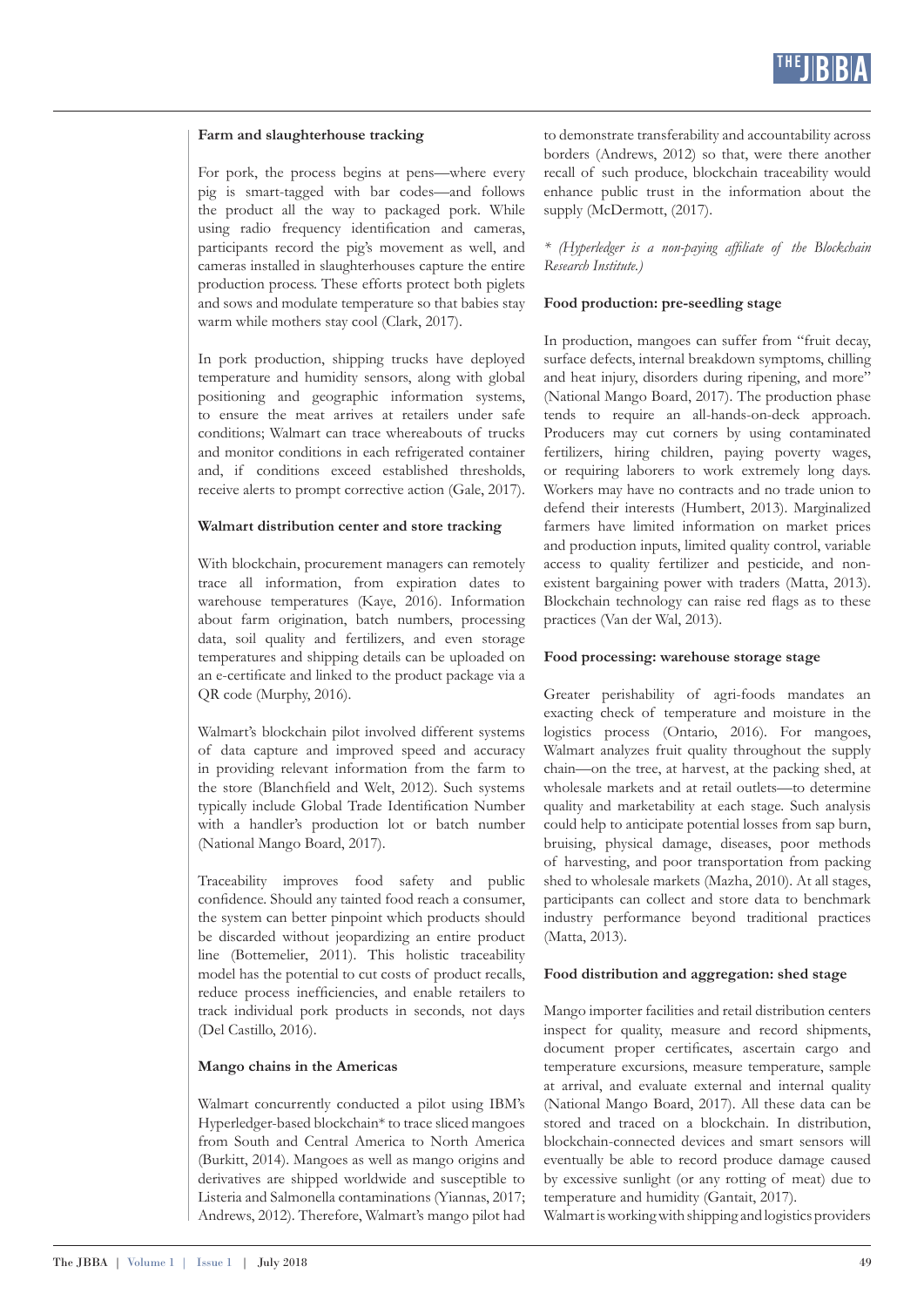# **Farm and slaughterhouse tracking**

For pork, the process begins at pens—where every pig is smart-tagged with bar codes—and follows the product all the way to packaged pork. While using radio frequency identification and cameras, participants record the pig's movement as well, and cameras installed in slaughterhouses capture the entire production process. These efforts protect both piglets and sows and modulate temperature so that babies stay warm while mothers stay cool (Clark, 2017).

In pork production, shipping trucks have deployed temperature and humidity sensors, along with global positioning and geographic information systems, to ensure the meat arrives at retailers under safe conditions; Walmart can trace whereabouts of trucks and monitor conditions in each refrigerated container and, if conditions exceed established thresholds, receive alerts to prompt corrective action (Gale, 2017).

#### **Walmart distribution center and store tracking**

With blockchain, procurement managers can remotely trace all information, from expiration dates to warehouse temperatures (Kaye, 2016). Information about farm origination, batch numbers, processing data, soil quality and fertilizers, and even storage temperatures and shipping details can be uploaded on an e-certificate and linked to the product package via a QR code (Murphy, 2016).

Walmart's blockchain pilot involved different systems of data capture and improved speed and accuracy in providing relevant information from the farm to the store (Blanchfield and Welt, 2012). Such systems typically include Global Trade Identification Number with a handler's production lot or batch number (National Mango Board, 2017).

Traceability improves food safety and public confidence. Should any tainted food reach a consumer, the system can better pinpoint which products should be discarded without jeopardizing an entire product line (Bottemelier, 2011). This holistic traceability model has the potential to cut costs of product recalls, reduce process inefficiencies, and enable retailers to track individual pork products in seconds, not days (Del Castillo, 2016).

#### **Mango chains in the Americas**

Walmart concurrently conducted a pilot using IBM's Hyperledger-based blockchain\* to trace sliced mangoes from South and Central America to North America (Burkitt, 2014). Mangoes as well as mango origins and derivatives are shipped worldwide and susceptible to Listeria and Salmonella contaminations (Yiannas, 2017; Andrews, 2012). Therefore, Walmart's mango pilot had

to demonstrate transferability and accountability across borders (Andrews, 2012) so that, were there another recall of such produce, blockchain traceability would enhance public trust in the information about the supply (McDermott, (2017).

*\* (Hyperledger is a non-paying affiliate of the Blockchain Research Institute.)*

#### **Food production: pre-seedling stage**

In production, mangoes can suffer from "fruit decay, surface defects, internal breakdown symptoms, chilling and heat injury, disorders during ripening, and more" (National Mango Board, 2017). The production phase tends to require an all-hands-on-deck approach. Producers may cut corners by using contaminated fertilizers, hiring children, paying poverty wages, or requiring laborers to work extremely long days. Workers may have no contracts and no trade union to defend their interests (Humbert, 2013). Marginalized farmers have limited information on market prices and production inputs, limited quality control, variable access to quality fertilizer and pesticide, and nonexistent bargaining power with traders (Matta, 2013). Blockchain technology can raise red flags as to these practices (Van der Wal, 2013).

#### **Food processing: warehouse storage stage**

Greater perishability of agri-foods mandates an exacting check of temperature and moisture in the logistics process (Ontario, 2016). For mangoes, Walmart analyzes fruit quality throughout the supply chain—on the tree, at harvest, at the packing shed, at wholesale markets and at retail outlets—to determine quality and marketability at each stage. Such analysis could help to anticipate potential losses from sap burn, bruising, physical damage, diseases, poor methods of harvesting, and poor transportation from packing shed to wholesale markets (Mazha, 2010). At all stages, participants can collect and store data to benchmark industry performance beyond traditional practices (Matta, 2013).

#### **Food distribution and aggregation: shed stage**

Mango importer facilities and retail distribution centers inspect for quality, measure and record shipments, document proper certificates, ascertain cargo and temperature excursions, measure temperature, sample at arrival, and evaluate external and internal quality (National Mango Board, 2017). All these data can be stored and traced on a blockchain. In distribution, blockchain-connected devices and smart sensors will eventually be able to record produce damage caused by excessive sunlight (or any rotting of meat) due to temperature and humidity (Gantait, 2017).

Walmart is working with shipping and logistics providers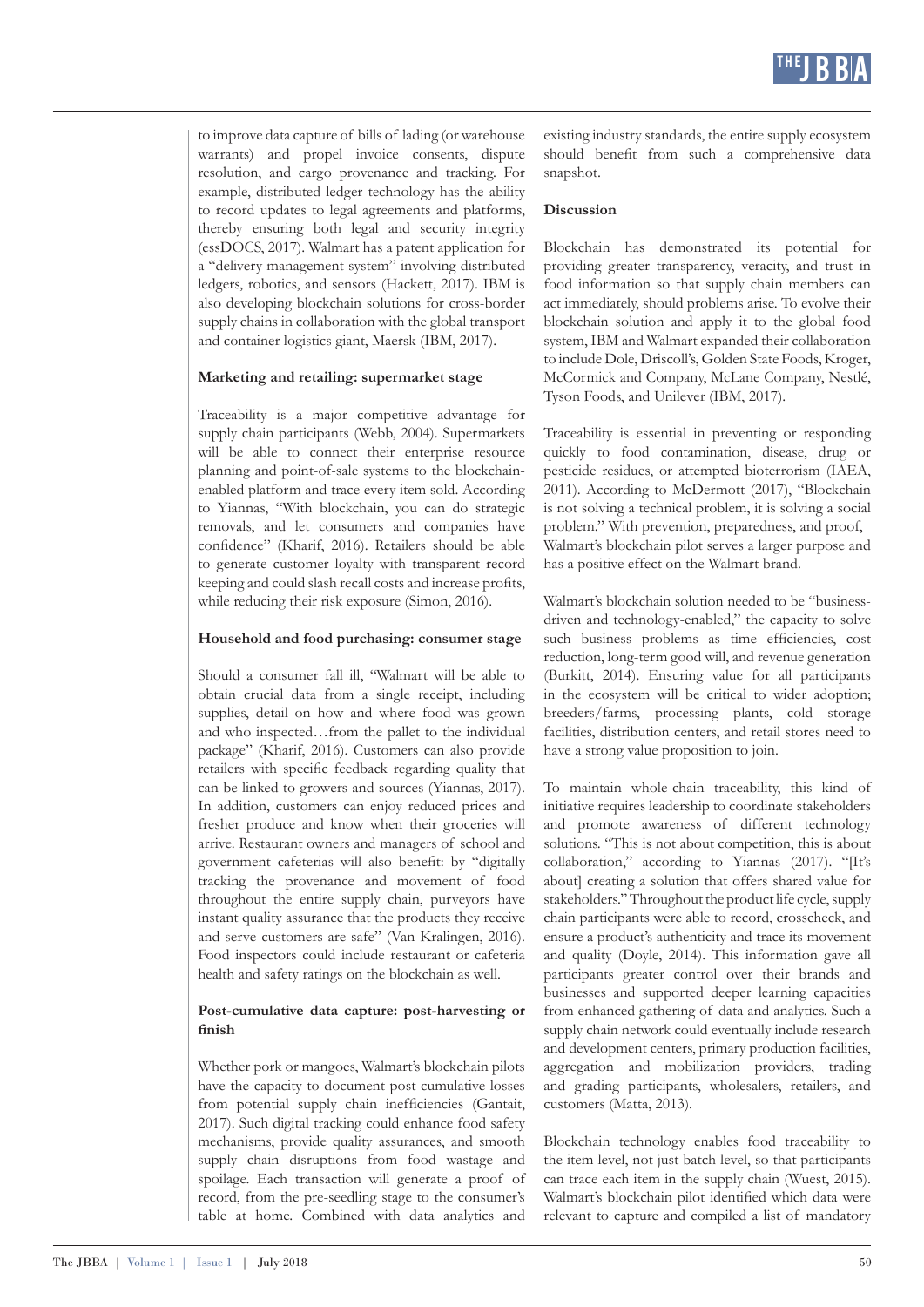to improve data capture of bills of lading (or warehouse warrants) and propel invoice consents, dispute resolution, and cargo provenance and tracking. For example, distributed ledger technology has the ability to record updates to legal agreements and platforms, thereby ensuring both legal and security integrity (essDOCS, 2017). Walmart has a patent application for a "delivery management system" involving distributed ledgers, robotics, and sensors (Hackett, 2017). IBM is also developing blockchain solutions for cross-border supply chains in collaboration with the global transport and container logistics giant, Maersk (IBM, 2017).

# **Marketing and retailing: supermarket stage**

Traceability is a major competitive advantage for supply chain participants (Webb, 2004). Supermarkets will be able to connect their enterprise resource planning and point-of-sale systems to the blockchainenabled platform and trace every item sold. According to Yiannas, "With blockchain, you can do strategic removals, and let consumers and companies have confidence" (Kharif, 2016). Retailers should be able to generate customer loyalty with transparent record keeping and could slash recall costs and increase profits, while reducing their risk exposure (Simon, 2016).

# **Household and food purchasing: consumer stage**

Should a consumer fall ill, "Walmart will be able to obtain crucial data from a single receipt, including supplies, detail on how and where food was grown and who inspected…from the pallet to the individual package" (Kharif, 2016). Customers can also provide retailers with specific feedback regarding quality that can be linked to growers and sources (Yiannas, 2017). In addition, customers can enjoy reduced prices and fresher produce and know when their groceries will arrive. Restaurant owners and managers of school and government cafeterias will also benefit: by "digitally tracking the provenance and movement of food throughout the entire supply chain, purveyors have instant quality assurance that the products they receive and serve customers are safe" (Van Kralingen, 2016). Food inspectors could include restaurant or cafeteria health and safety ratings on the blockchain as well.

# **Post-cumulative data capture: post-harvesting or finish**

Whether pork or mangoes, Walmart's blockchain pilots have the capacity to document post-cumulative losses from potential supply chain inefficiencies (Gantait, 2017). Such digital tracking could enhance food safety mechanisms, provide quality assurances, and smooth supply chain disruptions from food wastage and spoilage. Each transaction will generate a proof of record, from the pre-seedling stage to the consumer's table at home. Combined with data analytics and existing industry standards, the entire supply ecosystem should benefit from such a comprehensive data snapshot.

### **Discussion**

Blockchain has demonstrated its potential for providing greater transparency, veracity, and trust in food information so that supply chain members can act immediately, should problems arise. To evolve their blockchain solution and apply it to the global food system, IBM and Walmart expanded their collaboration to include Dole, Driscoll's, Golden State Foods, Kroger, McCormick and Company, McLane Company, Nestlé, Tyson Foods, and Unilever (IBM, 2017).

Traceability is essential in preventing or responding quickly to food contamination, disease, drug or pesticide residues, or attempted bioterrorism (IAEA, 2011). According to McDermott (2017), "Blockchain is not solving a technical problem, it is solving a social problem." With prevention, preparedness, and proof, Walmart's blockchain pilot serves a larger purpose and has a positive effect on the Walmart brand.

Walmart's blockchain solution needed to be "businessdriven and technology-enabled," the capacity to solve such business problems as time efficiencies, cost reduction, long-term good will, and revenue generation (Burkitt, 2014). Ensuring value for all participants in the ecosystem will be critical to wider adoption; breeders/farms, processing plants, cold storage facilities, distribution centers, and retail stores need to have a strong value proposition to join.

To maintain whole-chain traceability, this kind of initiative requires leadership to coordinate stakeholders and promote awareness of different technology solutions. "This is not about competition, this is about collaboration," according to Yiannas (2017). "[It's about] creating a solution that offers shared value for stakeholders." Throughout the product life cycle, supply chain participants were able to record, crosscheck, and ensure a product's authenticity and trace its movement and quality (Doyle, 2014). This information gave all participants greater control over their brands and businesses and supported deeper learning capacities from enhanced gathering of data and analytics. Such a supply chain network could eventually include research and development centers, primary production facilities, aggregation and mobilization providers, trading and grading participants, wholesalers, retailers, and customers (Matta, 2013).

Blockchain technology enables food traceability to the item level, not just batch level, so that participants can trace each item in the supply chain (Wuest, 2015). Walmart's blockchain pilot identified which data were relevant to capture and compiled a list of mandatory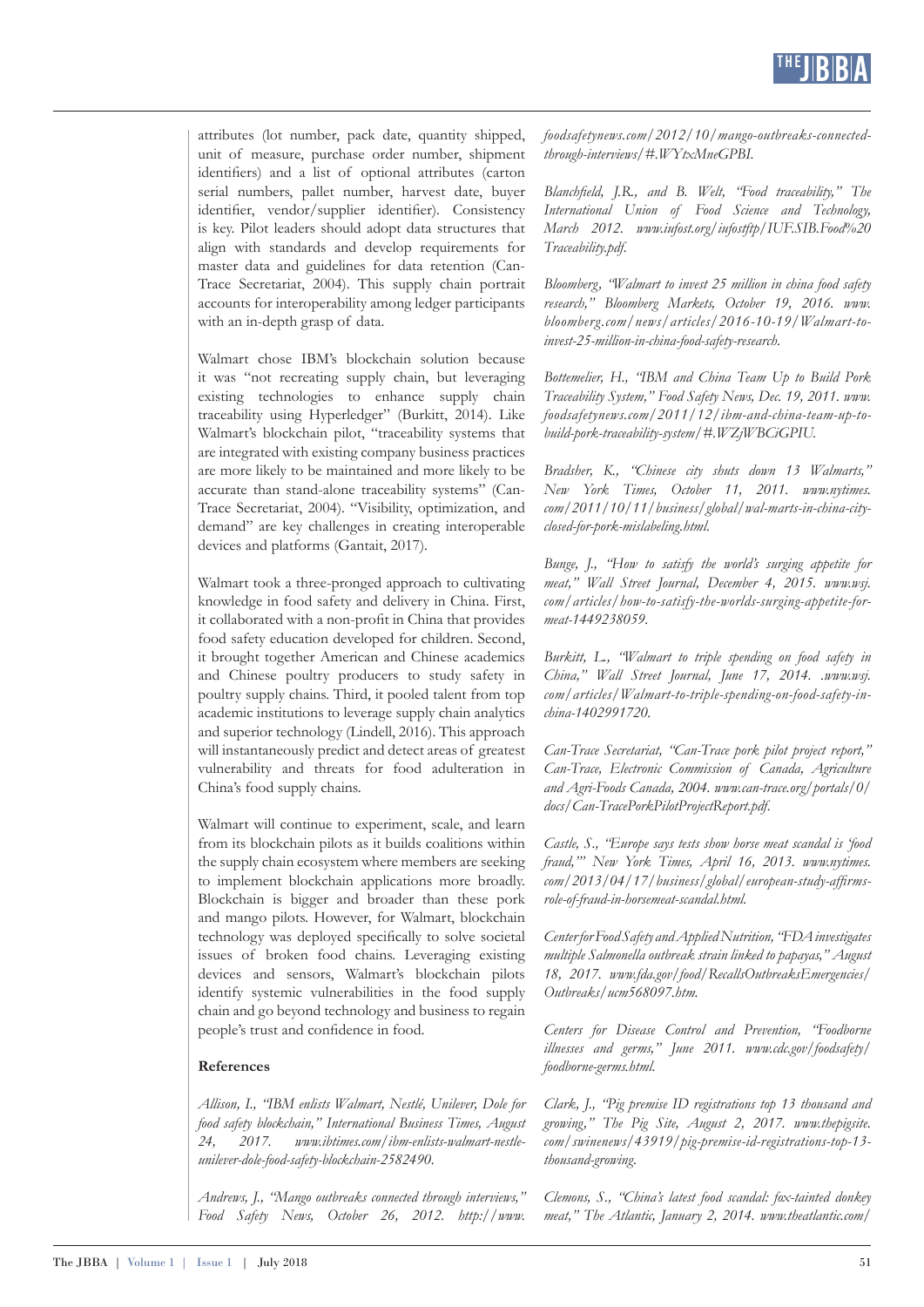attributes (lot number, pack date, quantity shipped, unit of measure, purchase order number, shipment identifiers) and a list of optional attributes (carton serial numbers, pallet number, harvest date, buyer identifier, vendor/supplier identifier). Consistency is key. Pilot leaders should adopt data structures that align with standards and develop requirements for master data and guidelines for data retention (Can-Trace Secretariat, 2004). This supply chain portrait accounts for interoperability among ledger participants with an in-depth grasp of data.

Walmart chose IBM's blockchain solution because it was "not recreating supply chain, but leveraging existing technologies to enhance supply chain traceability using Hyperledger" (Burkitt, 2014). Like Walmart's blockchain pilot, "traceability systems that are integrated with existing company business practices are more likely to be maintained and more likely to be accurate than stand-alone traceability systems" (Can-Trace Secretariat, 2004). "Visibility, optimization, and demand" are key challenges in creating interoperable devices and platforms (Gantait, 2017).

Walmart took a three-pronged approach to cultivating knowledge in food safety and delivery in China. First, it collaborated with a non-profit in China that provides food safety education developed for children. Second, it brought together American and Chinese academics and Chinese poultry producers to study safety in poultry supply chains. Third, it pooled talent from top academic institutions to leverage supply chain analytics and superior technology (Lindell, 2016). This approach will instantaneously predict and detect areas of greatest vulnerability and threats for food adulteration in China's food supply chains.

Walmart will continue to experiment, scale, and learn from its blockchain pilots as it builds coalitions within the supply chain ecosystem where members are seeking to implement blockchain applications more broadly. Blockchain is bigger and broader than these pork and mango pilots. However, for Walmart, blockchain technology was deployed specifically to solve societal issues of broken food chains. Leveraging existing devices and sensors, Walmart's blockchain pilots identify systemic vulnerabilities in the food supply chain and go beyond technology and business to regain people's trust and confidence in food.

### **References**

*Allison, I., "IBM enlists Walmart, Nestlé, Unilever, Dole for food safety blockchain," International Business Times, August 24, 2017. www.ibtimes.com/ibm-enlists-walmart-nestleunilever-dole-food-safety-blockchain-2582490.*

*Andrews, J., "Mango outbreaks connected through interviews," Food Safety News, October 26, 2012. http://www.*

*foodsafetynews.com/2012/10/mango-outbreaks-connectedthrough-interviews/#.WYtxMneGPBI.*

*Blanchfield, J.R., and B. Welt, "Food traceability," The International Union of Food Science and Technology, March 2012. www.iufost.org/iufostftp/IUF.SIB.Food%20 Traceability.pdf.*

*Bloomberg, "Walmart to invest 25 million in china food safety research," Bloomberg Markets, October 19, 2016. www. bloomberg.com/news/articles/2016-10-19/Walmart-toinvest-25-million-in-china-food-safety-research.*

*Bottemelier, H., "IBM and China Team Up to Build Pork Traceability System," Food Safety News, Dec. 19, 2011. www. foodsafetynews.com/2011/12/ibm-and-china-team-up-tobuild-pork-traceability-system/#.WZjWBCiGPIU.*

*Bradsher, K., "Chinese city shuts down 13 Walmarts," New York Times, October 11, 2011. www.nytimes. com/2011/10/11/business/global/wal-marts-in-china-cityclosed-for-pork-mislabeling.html.*

*Bunge, J., "How to satisfy the world's surging appetite for meat," Wall Street Journal, December 4, 2015. www.wsj. com/articles/how-to-satisfy-the-worlds-surging-appetite-formeat-1449238059.*

*Burkitt, L., "Walmart to triple spending on food safety in China," Wall Street Journal, June 17, 2014. .www.wsj. com/articles/Walmart-to-triple-spending-on-food-safety-inchina-1402991720.*

*Can-Trace Secretariat, "Can-Trace pork pilot project report," Can-Trace, Electronic Commission of Canada, Agriculture and Agri-Foods Canada, 2004. www.can-trace.org/portals/0/ docs/Can-TracePorkPilotProjectReport.pdf.*

*Castle, S., "Europe says tests show horse meat scandal is 'food fraud,'" New York Times, April 16, 2013. www.nytimes. com/2013/04/17/business/global/european-study-affirmsrole-of-fraud-in-horsemeat-scandal.html.*

*Center for Food Safety and Applied Nutrition, "FDA investigates multiple Salmonella outbreak strain linked to papayas," August 18, 2017. www.fda.gov/food/RecallsOutbreaksEmergencies/ Outbreaks/ucm568097.htm.*

*Centers for Disease Control and Prevention, "Foodborne illnesses and germs," June 2011. www.cdc.gov/foodsafety/ foodborne-germs.html.*

*Clark, J., "Pig premise ID registrations top 13 thousand and growing," The Pig Site, August 2, 2017. www.thepigsite. com/swinenews/43919/pig-premise-id-registrations-top-13 thousand-growing.*

*Clemons, S., "China's latest food scandal: fox-tainted donkey meat," The Atlantic, January 2, 2014. www.theatlantic.com/*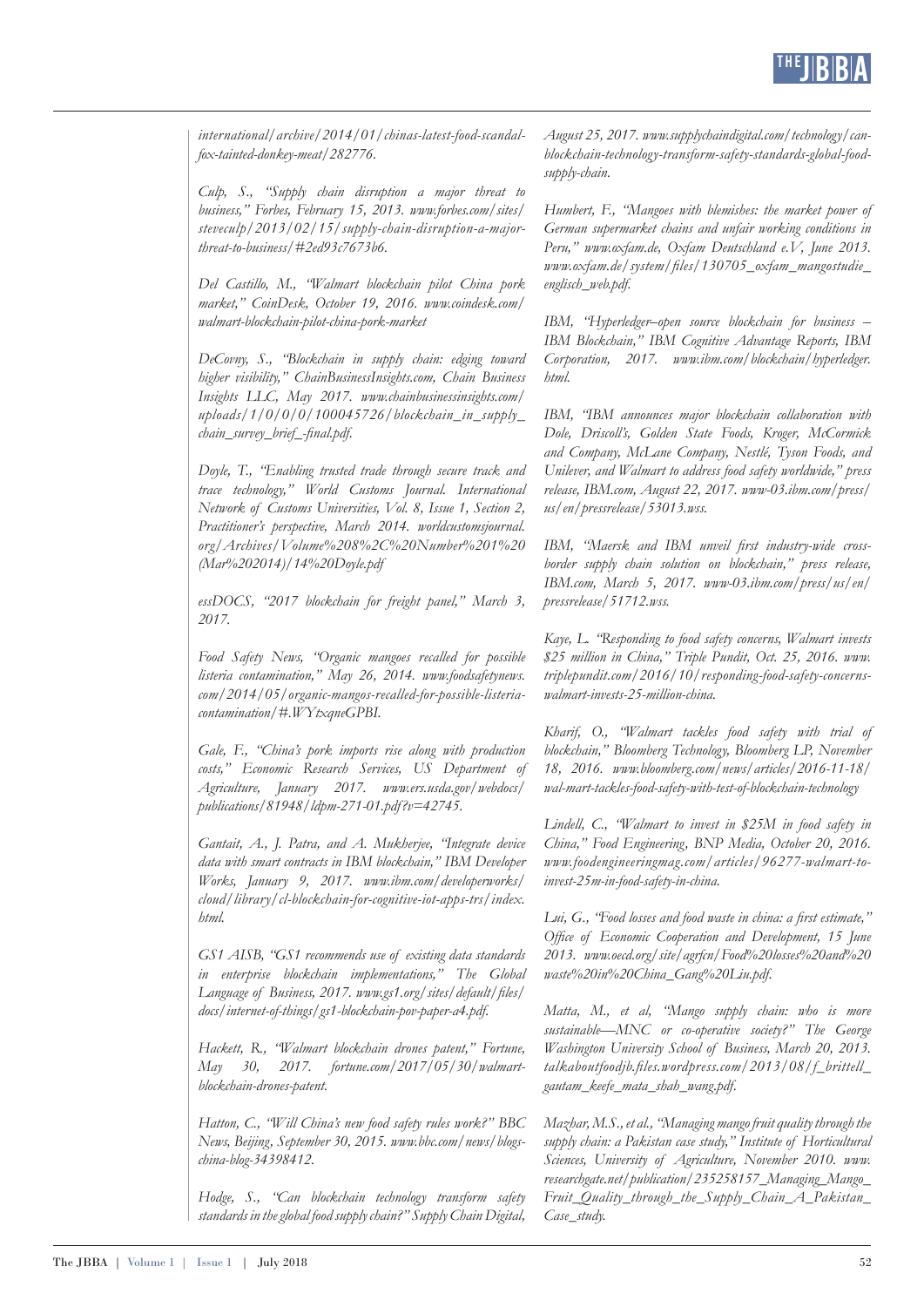*international/archive/2014/01/chinas-latest-food-scandalfox-tainted-donkey-meat/282776.*

*Culp, S., "Supply chain disruption a major threat to business," Forbes, February 15, 2013. www.forbes.com/sites/ steveculp/2013/02/15/supply-chain-disruption-a-majorthreat-to-business/#2ed93c7673b6.*

*Del Castillo, M., "Walmart blockchain pilot China pork market," CoinDesk, October 19, 2016. www.coindesk.com/ walmart-blockchain-pilot-china-pork-market*

*DeCovny, S., "Blockchain in supply chain: edging toward higher visibility," ChainBusinessInsights.com, Chain Business Insights LLC, May 2017. www.chainbusinessinsights.com/ uploads/1/0/0/0/100045726/blockchain\_in\_supply\_ chain\_survey\_brief\_-final.pdf.*

*Doyle, T., "Enabling trusted trade through secure track and trace technology," World Customs Journal. International Network of Customs Universities, Vol. 8, Issue 1, Section 2, Practitioner's perspective, March 2014. worldcustomsjournal. org/Archives/Volume%208%2C%20Number%201%20 (Mar%202014)/14%20Doyle.pdf*

*essDOCS, "2017 blockchain for freight panel," March 3, 2017.*

*Food Safety News, "Organic mangoes recalled for possible listeria contamination," May 26, 2014. www.foodsafetynews. com/2014/05/organic-mangos-recalled-for-possible-listeriacontamination/#.WYtxqneGPBI.*

*Gale, F., "China's pork imports rise along with production costs," Economic Research Services, US Department of Agriculture, January 2017. www.ers.usda.gov/webdocs/ publications/81948/ldpm-271-01.pdf?v=42745.*

*Gantait, A., J. Patra, and A. Mukherjee, "Integrate device data with smart contracts in IBM blockchain," IBM Developer Works, January 9, 2017. www.ibm.com/developerworks/ cloud/library/cl-blockchain-for-cognitive-iot-apps-trs/index. html.*

*GS1 AISB, "GS1 recommends use of existing data standards in enterprise blockchain implementations," The Global Language of Business, 2017. www.gs1.org/sites/default/files/ docs/internet-of-things/gs1-blockchain-pov-paper-a4.pdf.*

*Hackett, R., "Walmart blockchain drones patent," Fortune, May 30, 2017. fortune.com/2017/05/30/walmartblockchain-drones-patent.*

*Hatton, C., "Will China's new food safety rules work?" BBC News, Beijing, September 30, 2015. www.bbc.com/news/blogschina-blog-34398412.*

*Hodge, S., "Can blockchain technology transform safety standards in the global food supply chain?" Supply Chain Digital,*  *August 25, 2017. www.supplychaindigital.com/technology/canblockchain-technology-transform-safety-standards-global-foodsupply-chain.*

*Humbert, F., "Mangoes with blemishes: the market power of German supermarket chains and unfair working conditions in Peru," www.oxfam.de, Oxfam Deutschland e.V, June 2013. www.oxfam.de/system/files/130705\_oxfam\_mangostudie\_ englisch\_web.pdf.*

*IBM, "Hyperledger–open source blockchain for business – IBM Blockchain," IBM Cognitive Advantage Reports, IBM Corporation, 2017. www.ibm.com/blockchain/hyperledger. html.*

*IBM, "IBM announces major blockchain collaboration with Dole, Driscoll's, Golden State Foods, Kroger, McCormick and Company, McLane Company, Nestlé, Tyson Foods, and Unilever, and Walmart to address food safety worldwide," press release, IBM.com, August 22, 2017. www-03.ibm.com/press/ us/en/pressrelease/53013.wss.*

*IBM, "Maersk and IBM unveil first industry-wide crossborder supply chain solution on blockchain," press release, IBM.com, March 5, 2017. www-03.ibm.com/press/us/en/ pressrelease/51712.wss.*

*Kaye, L. "Responding to food safety concerns, Walmart invests \$25 million in China," Triple Pundit, Oct. 25, 2016. www. triplepundit.com/2016/10/responding-food-safety-concernswalmart-invests-25-million-china.*

*Kharif, O., "Walmart tackles food safety with trial of blockchain," Bloomberg Technology, Bloomberg LP, November 18, 2016. www.bloomberg.com/news/articles/2016-11-18/ wal-mart-tackles-food-safety-with-test-of-blockchain-technology*

*Lindell, C., "Walmart to invest in \$25M in food safety in China," Food Engineering, BNP Media, October 20, 2016. www.foodengineeringmag.com/articles/96277-walmart-toinvest-25m-in-food-safety-in-china.*

*Lui, G., "Food losses and food waste in china: a first estimate," Office of Economic Cooperation and Development, 15 June 2013. www.oecd.org/site/agrfcn/Food%20losses%20and%20 waste%20in%20China\_Gang%20Liu.pdf.*

*Matta, M., et al, "Mango supply chain: who is more sustainable—MNC or co-operative society?" The George Washington University School of Business, March 20, 2013. talkaboutfoodjb.files.wordpress.com/2013/08/f\_brittell\_ gautam\_keefe\_mata\_shah\_wang.pdf.*

*Mazhar, M.S., et al., "Managing mango fruit quality through the supply chain: a Pakistan case study," Institute of Horticultural Sciences, University of Agriculture, November 2010. www. researchgate.net/publication/235258157\_Managing\_Mango\_ Fruit\_Quality\_through\_the\_Supply\_Chain\_A\_Pakistan\_ Case\_study.*